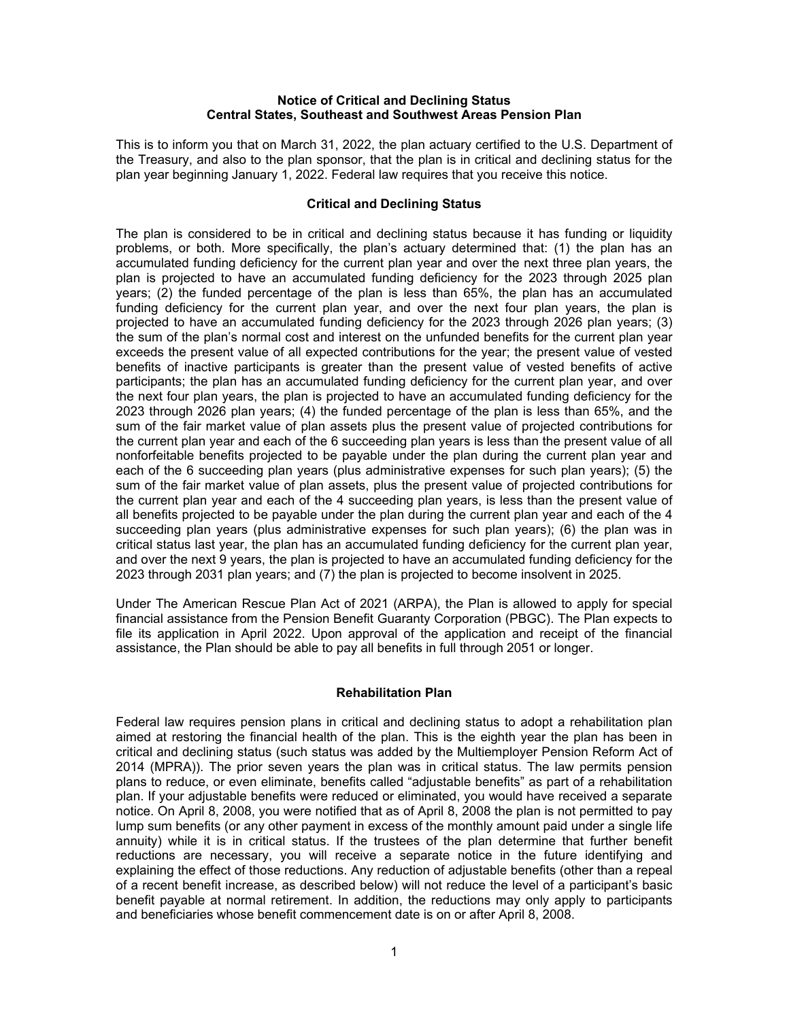#### **Notice of Critical and Declining Status Central States, Southeast and Southwest Areas Pension Plan**

This is to inform you that on March 31, 2022, the plan actuary certified to the U.S. Department of the Treasury, and also to the plan sponsor, that the plan is in critical and declining status for the plan year beginning January 1, 2022. Federal law requires that you receive this notice.

#### **Critical and Declining Status**

The plan is considered to be in critical and declining status because it has funding or liquidity problems, or both. More specifically, the plan's actuary determined that: (1) the plan has an accumulated funding deficiency for the current plan year and over the next three plan years, the plan is projected to have an accumulated funding deficiency for the 2023 through 2025 plan years; (2) the funded percentage of the plan is less than 65%, the plan has an accumulated funding deficiency for the current plan year, and over the next four plan years, the plan is projected to have an accumulated funding deficiency for the 2023 through 2026 plan years; (3) the sum of the plan's normal cost and interest on the unfunded benefits for the current plan year exceeds the present value of all expected contributions for the year; the present value of vested benefits of inactive participants is greater than the present value of vested benefits of active participants; the plan has an accumulated funding deficiency for the current plan year, and over the next four plan years, the plan is projected to have an accumulated funding deficiency for the 2023 through 2026 plan years; (4) the funded percentage of the plan is less than 65%, and the sum of the fair market value of plan assets plus the present value of projected contributions for the current plan year and each of the 6 succeeding plan years is less than the present value of all nonforfeitable benefits projected to be payable under the plan during the current plan year and each of the 6 succeeding plan years (plus administrative expenses for such plan years); (5) the sum of the fair market value of plan assets, plus the present value of projected contributions for the current plan year and each of the 4 succeeding plan years, is less than the present value of all benefits projected to be payable under the plan during the current plan year and each of the 4 succeeding plan years (plus administrative expenses for such plan years); (6) the plan was in critical status last year, the plan has an accumulated funding deficiency for the current plan year, and over the next 9 years, the plan is projected to have an accumulated funding deficiency for the 2023 through 2031 plan years; and (7) the plan is projected to become insolvent in 2025.

Under The American Rescue Plan Act of 2021 (ARPA), the Plan is allowed to apply for special financial assistance from the Pension Benefit Guaranty Corporation (PBGC). The Plan expects to file its application in April 2022. Upon approval of the application and receipt of the financial assistance, the Plan should be able to pay all benefits in full through 2051 or longer.

## **Rehabilitation Plan**

Federal law requires pension plans in critical and declining status to adopt a rehabilitation plan aimed at restoring the financial health of the plan. This is the eighth year the plan has been in critical and declining status (such status was added by the Multiemployer Pension Reform Act of 2014 (MPRA)). The prior seven years the plan was in critical status. The law permits pension plans to reduce, or even eliminate, benefits called "adjustable benefits" as part of a rehabilitation plan. If your adjustable benefits were reduced or eliminated, you would have received a separate notice. On April 8, 2008, you were notified that as of April 8, 2008 the plan is not permitted to pay lump sum benefits (or any other payment in excess of the monthly amount paid under a single life annuity) while it is in critical status. If the trustees of the plan determine that further benefit reductions are necessary, you will receive a separate notice in the future identifying and explaining the effect of those reductions. Any reduction of adjustable benefits (other than a repeal of a recent benefit increase, as described below) will not reduce the level of a participant's basic benefit payable at normal retirement. In addition, the reductions may only apply to participants and beneficiaries whose benefit commencement date is on or after April 8, 2008.